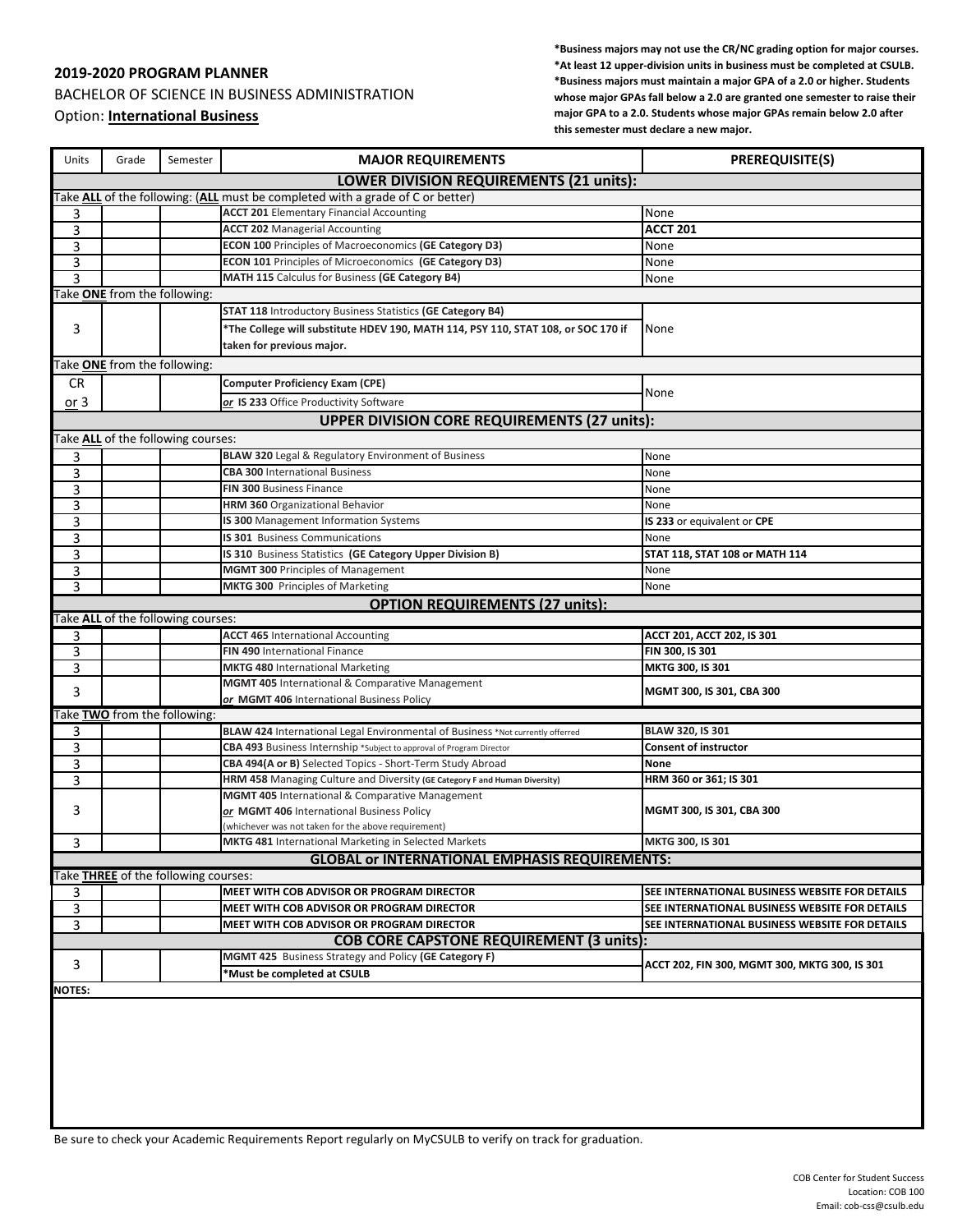## **2019-2020 PROGRAM PLANNER**

BACHELOR OF SCIENCE IN BUSINESS ADMINISTRATION Option: **International Business**

**\*Business majors may not use the CR/NC grading option for major courses. \*At least 12 upper-division units in business must be completed at CSULB. \*Business majors must maintain a major GPA of a 2.0 or higher. Students whose major GPAs fall below a 2.0 are granted one semester to raise their major GPA to a 2.0. Students whose major GPAs remain below 2.0 after this semester must declare a new major.**

| Units                                                                          | Grade                                                 | Semester                             | <b>MAJOR REQUIREMENTS</b>                                                              | <b>PREREQUISITE(S)</b>                                                                           |  |
|--------------------------------------------------------------------------------|-------------------------------------------------------|--------------------------------------|----------------------------------------------------------------------------------------|--------------------------------------------------------------------------------------------------|--|
|                                                                                |                                                       |                                      | LOWER DIVISION REQUIREMENTS (21 units):                                                |                                                                                                  |  |
| Take ALL of the following: (ALL must be completed with a grade of C or better) |                                                       |                                      |                                                                                        |                                                                                                  |  |
| 3                                                                              |                                                       |                                      | <b>ACCT 201 Elementary Financial Accounting</b>                                        | None                                                                                             |  |
| 3                                                                              |                                                       |                                      | <b>ACCT 202 Managerial Accounting</b>                                                  | <b>ACCT 201</b>                                                                                  |  |
| 3                                                                              |                                                       |                                      | <b>ECON 100 Principles of Macroeconomics (GE Category D3)</b>                          | None                                                                                             |  |
| 3                                                                              |                                                       |                                      | <b>ECON 101 Principles of Microeconomics (GE Category D3)</b>                          | None                                                                                             |  |
| 3                                                                              |                                                       |                                      | MATH 115 Calculus for Business (GE Category B4)                                        | None                                                                                             |  |
|                                                                                | Take <b>ONE</b> from the following:                   |                                      |                                                                                        |                                                                                                  |  |
|                                                                                |                                                       |                                      | <b>STAT 118 Introductory Business Statistics (GE Category B4)</b>                      |                                                                                                  |  |
| 3                                                                              |                                                       |                                      | *The College will substitute HDEV 190, MATH 114, PSY 110, STAT 108, or SOC 170 if      | None                                                                                             |  |
|                                                                                |                                                       |                                      | taken for previous major.                                                              |                                                                                                  |  |
|                                                                                | Take <b>ONE</b> from the following:                   |                                      |                                                                                        |                                                                                                  |  |
| <b>CR</b>                                                                      |                                                       |                                      | <b>Computer Proficiency Exam (CPE)</b>                                                 |                                                                                                  |  |
| or 3                                                                           |                                                       |                                      | or IS 233 Office Productivity Software                                                 | None                                                                                             |  |
|                                                                                |                                                       |                                      | <b>UPPER DIVISION CORE REQUIREMENTS (27 units):</b>                                    |                                                                                                  |  |
|                                                                                |                                                       | Take ALL of the following courses:   |                                                                                        |                                                                                                  |  |
| 3                                                                              |                                                       |                                      | <b>BLAW 320</b> Legal & Regulatory Environment of Business                             | None                                                                                             |  |
| 3                                                                              |                                                       |                                      | <b>CBA 300 International Business</b>                                                  | None                                                                                             |  |
| 3                                                                              |                                                       |                                      | <b>FIN 300 Business Finance</b>                                                        | None                                                                                             |  |
| 3                                                                              |                                                       |                                      | <b>HRM 360</b> Organizational Behavior                                                 | None                                                                                             |  |
| 3                                                                              |                                                       |                                      | IS 300 Management Information Systems                                                  | IS 233 or equivalent or CPE                                                                      |  |
| 3                                                                              |                                                       |                                      | <b>IS 301</b> Business Communications                                                  | None                                                                                             |  |
| 3                                                                              |                                                       |                                      | IS 310 Business Statistics (GE Category Upper Division B)                              | STAT 118, STAT 108 or MATH 114                                                                   |  |
| 3                                                                              |                                                       |                                      | <b>MGMT 300 Principles of Management</b>                                               | None                                                                                             |  |
| 3                                                                              |                                                       |                                      | MKTG 300 Principles of Marketing                                                       | None                                                                                             |  |
|                                                                                |                                                       |                                      | <b>OPTION REQUIREMENTS (27 units):</b>                                                 |                                                                                                  |  |
|                                                                                |                                                       | Take ALL of the following courses:   |                                                                                        |                                                                                                  |  |
| 3                                                                              |                                                       |                                      | <b>ACCT 465 International Accounting</b>                                               | ACCT 201, ACCT 202, IS 301                                                                       |  |
| 3                                                                              |                                                       |                                      | FIN 490 International Finance                                                          | FIN 300, IS 301                                                                                  |  |
| 3                                                                              |                                                       |                                      | <b>MKTG 480 International Marketing</b>                                                | MKTG 300, IS 301                                                                                 |  |
| 3                                                                              |                                                       |                                      | MGMT 405 International & Comparative Management                                        | MGMT 300, IS 301, CBA 300                                                                        |  |
|                                                                                |                                                       |                                      | or MGMT 406 International Business Policy                                              |                                                                                                  |  |
|                                                                                |                                                       | Take TWO from the following:         |                                                                                        |                                                                                                  |  |
| 3                                                                              |                                                       |                                      | BLAW 424 International Legal Environmental of Business *Not currently offerred         | BLAW 320, IS 301                                                                                 |  |
| 3                                                                              |                                                       |                                      | CBA 493 Business Internship *Subject to approval of Program Director                   | <b>Consent of instructor</b>                                                                     |  |
| 3                                                                              |                                                       |                                      | CBA 494(A or B) Selected Topics - Short-Term Study Abroad                              | <b>None</b>                                                                                      |  |
| 3                                                                              |                                                       |                                      | HRM 458 Managing Culture and Diversity (GE Category F and Human Diversity)             | HRM 360 or 361; IS 301                                                                           |  |
|                                                                                |                                                       |                                      | MGMT 405 International & Comparative Management                                        |                                                                                                  |  |
| 3                                                                              |                                                       |                                      | or MGMT 406 International Business Policy                                              | MGMT 300, IS 301, CBA 300                                                                        |  |
|                                                                                |                                                       |                                      | (whichever was not taken for the above requirement)                                    |                                                                                                  |  |
| 3                                                                              |                                                       |                                      | <b>MKTG 481</b> International Marketing in Selected Markets                            | MKTG 300, IS 301                                                                                 |  |
|                                                                                |                                                       |                                      | <b>GLOBAL or INTERNATIONAL EMPHASIS REQUIREMENTS:</b>                                  |                                                                                                  |  |
|                                                                                |                                                       | Take THREE of the following courses: |                                                                                        |                                                                                                  |  |
| 3                                                                              |                                                       |                                      | MEET WITH COB ADVISOR OR PROGRAM DIRECTOR<br>MEET WITH COB ADVISOR OR PROGRAM DIRECTOR | SEE INTERNATIONAL BUSINESS WEBSITE FOR DETAILS<br>SEE INTERNATIONAL BUSINESS WEBSITE FOR DETAILS |  |
| 3<br>3                                                                         |                                                       |                                      | MEET WITH COB ADVISOR OR PROGRAM DIRECTOR                                              | SEE INTERNATIONAL BUSINESS WEBSITE FOR DETAILS                                                   |  |
|                                                                                |                                                       |                                      | <b>COB CORE CAPSTONE REQUIREMENT (3 units):</b>                                        |                                                                                                  |  |
|                                                                                | MGMT 425 Business Strategy and Policy (GE Category F) |                                      |                                                                                        |                                                                                                  |  |
| 3                                                                              |                                                       |                                      | *Must be completed at CSULB                                                            | ACCT 202, FIN 300, MGMT 300, MKTG 300, IS 301                                                    |  |
| <b>NOTES:</b>                                                                  |                                                       |                                      |                                                                                        |                                                                                                  |  |
|                                                                                |                                                       |                                      |                                                                                        |                                                                                                  |  |
|                                                                                |                                                       |                                      |                                                                                        |                                                                                                  |  |
|                                                                                |                                                       |                                      |                                                                                        |                                                                                                  |  |
|                                                                                |                                                       |                                      |                                                                                        |                                                                                                  |  |
|                                                                                |                                                       |                                      |                                                                                        |                                                                                                  |  |

Be sure to check your Academic Requirements Report regularly on MyCSULB to verify on track for graduation.